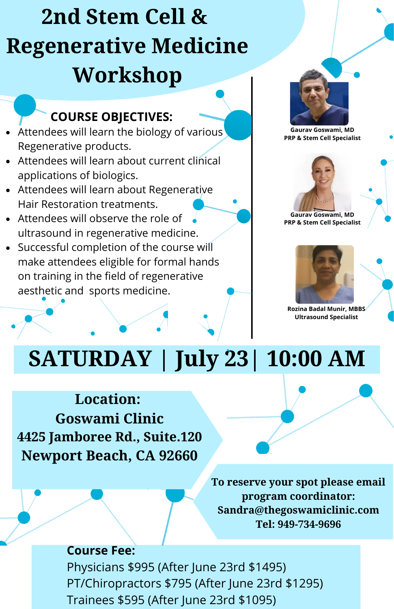# **2nd Stem Cell & Regenerative Medicine Workshop**

#### **COURSE OBJECTIVES:**

- $\bullet$  Attendees will learn the biology of various Regenerative products.
- Attendees will learn about current clinical applications of biologics.
- Attendees will learn about Regenerative Hair Restoration treatments.
- Attendees will observe the role of ultrasound in regenerative medicine.
- Successful completion of the course will make attendees eligible for formal hands on training in the field of regenerative aesthetic and sports medicine.



**Gaurav Goswami, MD PRP & Stem Cell Specialist**



**Gaurav Goswami, MD PRP & Stem Cell Specialist**



**Rozina Badal Munir, MBBS Ultrasound Specialist**

# **SATURDAY | July 23| 10:00 AM**

#### **Location: Goswami Clinic 4425 Jamboree Rd., Suite.120 Newport Beach, CA 92660**

**To reserve your spot please email program coordinator: Sandra@thegoswamiclinic.com Tel: 949-734-9696**

#### **Course Fee:**

Physicians \$995 (After June 23rd \$1495) PT/Chiropractors \$795 (After June 23rd \$1295) Trainees \$595 (After June 23rd \$1095)